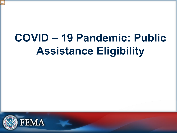# **COVID – 19 Pandemic: Public Assistance Eligibility**

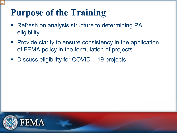#### **Purpose of the Training**

- **Refresh on analysis structure to determining PA** eligibility
- **Provide clarity to ensure consistency in the application** of FEMA policy in the formulation of projects
- **Discuss eligibility for COVID 19 projects**

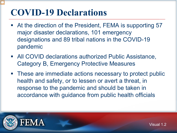#### **COVID-19 Declarations**

- At the direction of the President, FEMA is supporting 57 major disaster declarations, 101 emergency designations and 89 tribal nations in the COVID-19 pandemic
- All COVID declarations authorized Public Assistance, Category B, Emergency Protective Measures
- These are immediate actions necessary to protect public health and safety, or to lessen or avert a threat, in response to the pandemic and should be taken in accordance with guidance from public health officials

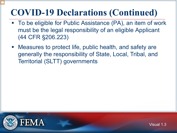#### **COVID-19 Declarations (Continued)**

- To be eligible for Public Assistance (PA), an item of work must be the legal responsibility of an eligible Applicant (44 CFR §206.223)
- Measures to protect life, public health, and safety are generally the responsibility of State, Local, Tribal, and Territorial (SLTT) governments

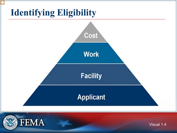

**FEMA** 

Visual 1.4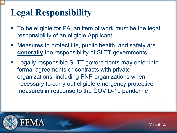## **Legal Responsibility**

- To be eligible for PA, an item of work must be the legal responsibility of an eligible Applicant
- Measures to protect life, public health, and safety are **generally** the responsibility of SLTT governments
- Legally responsible SLTT governments may enter into formal agreements or contracts with private organizations, including PNP organizations when necessary to carry out eligible emergency protective measures in response to the COVID-19 pandemic



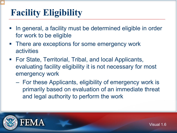## **Facility Eligibility**

- In general, a facility must be determined eligible in order for work to be eligible
- **There are exceptions for some emergency work** activities
- For State, Territorial, Tribal, and local Applicants, evaluating facility eligibility it is not necessary for most emergency work
	- For these Applicants, eligibility of emergency work is primarily based on evaluation of an immediate threat and legal authority to perform the work

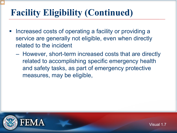## **Facility Eligibility (Continued)**

- Increased costs of operating a facility or providing a service are generally not eligible, even when directly related to the incident
	- However, short-term increased costs that are directly related to accomplishing specific emergency health and safety tasks, as part of emergency protective measures, may be eligible,

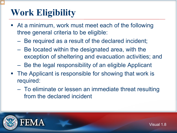## **Work Eligibility**

- At a minimum, work must meet each of the following three general criteria to be eligible:
	- Be required as a result of the declared incident;
	- Be located within the designated area, with the exception of sheltering and evacuation activities; and
	- Be the legal responsibility of an eligible Applicant
- The Applicant is responsible for showing that work is required:
	- To eliminate or lessen an immediate threat resulting from the declared incident

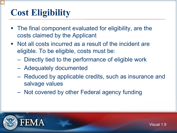## **Cost Eligibility**

- The final component evaluated for eligibility, are the costs claimed by the Applicant
- Not all costs incurred as a result of the incident are eligible. To be eligible, costs must be:
	- Directly tied to the performance of eligible work
	- Adequately documented
	- Reduced by applicable credits, such as insurance and salvage values
	- Not covered by other Federal agency funding

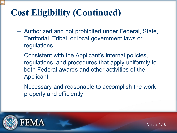## **Cost Eligibility (Continued)**

- Authorized and not prohibited under Federal, State, Territorial, Tribal, or local government laws or regulations
- Consistent with the Applicant's internal policies, regulations, and procedures that apply uniformly to both Federal awards and other activities of the Applicant
- Necessary and reasonable to accomplish the work properly and efficiently



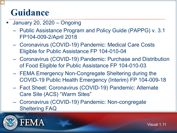#### **Guidance**

- January 20, 2020 Ongoing
	- Public Assistance Program and Policy Guide (PAPPG) v. 3.1 FP104-009-2/April 2018
	- Coronavirus (COVID-19) Pandemic: Medical Care Costs Eligible for Public Assistance FP 104-010-04
	- Coronavirus (COVID-19) Pandemic: Purchase and Distribution of Food Eligible for Public Assistance FP 104-010-03
	- FEMA Emergency Non-Congregate Sheltering during the COVID-19 Public Health Emergency (Interim) FP 104-009-18
	- Fact Sheet: Coronavirus (COVID-19) Pandemic: Alternate Care Site (ACS) "Warm Sites"
	- Coronavirus (COVID-19) Pandemic: Non-congregate Sheltering FAQ



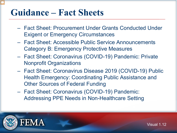#### **Guidance – Fact Sheets**

- Fact Sheet: Procurement Under Grants Conducted Under Exigent or Emergency Circumstances
- Fact Sheet: Accessible Public Service Announcements Category B: Emergency Protective Measures
- Fact Sheet: Coronavirus (COVID-19) Pandemic: Private Nonprofit Organizations
- Fact Sheet: Coronavirus Disease 2019 (COVID-19) Public Health Emergency: Coordinating Public Assistance and Other Sources of Federal Funding
- Fact Sheet: Coronavirus (COVID-19) Pandemic: Addressing PPE Needs in Non-Healthcare Setting



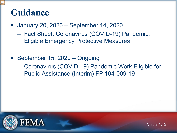#### **Guidance**

- January 20, 2020 September 14, 2020
	- Fact Sheet: Coronavirus (COVID-19) Pandemic: Eligible Emergency Protective Measures
- September 15, 2020 Ongoing
	- Coronavirus (COVID-19) Pandemic Work Eligible for Public Assistance (Interim) FP 104-009-19

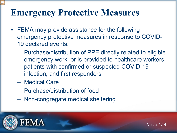#### **Emergency Protective Measures**

- **FEMA may provide assistance for the following** emergency protective measures in response to COVID-19 declared events:
	- Purchase/distribution of PPE directly related to eligible emergency work, or is provided to healthcare workers, patients with confirmed or suspected COVID-19 infection, and first responders
	- Medical Care
	- Purchase/distribution of food
	- Non-congregate medical sheltering



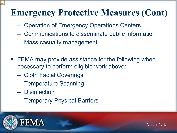## **Emergency Protective Measures (Cont)**

- Operation of Emergency Operations Centers
- Communications to disseminate public information
- Mass casualty management
- **FEMA may provide assistance for the following when** necessary to perform eligible work above:
	- Cloth Facial Coverings
	- Temperature Scanning
	- Disinfection
	- Temporary Physical Barriers



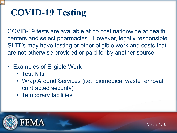## **COVID-19 Testing**

COVID-19 tests are available at no cost nationwide at health centers and select pharmacies. However, legally responsible SLTT's may have testing or other eligible work and costs that are not otherwise provided or paid for by another source.

- Examples of Eligible Work
	- Test Kits
	- Wrap Around Services (i.e.; biomedical waste removal, contracted security)
	- Temporary facilities



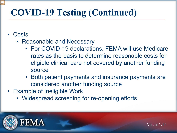## **COVID-19 Testing (Continued)**

- Costs
	- Reasonable and Necessary
		- For COVID-19 declarations, FEMA will use Medicare rates as the basis to determine reasonable costs for eligible clinical care not covered by another funding source
		- Both patient payments and insurance payments are considered another funding source
- Example of Ineligible Work
	- Widespread screening for re-opening efforts



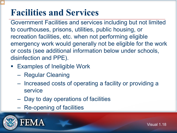#### **Facilities and Services**

Government Facilities and services including but not limited to courthouses, prisons, utilities, public housing, or recreation facilities, etc. when not performing eligible emergency work would generally not be eligible for the work or costs (see additional information below under schools, disinfection and PPE).

- **Examples of Ineligible Work** 
	- Regular Cleaning
	- Increased costs of operating a facility or providing a service
	- Day to day operations of facilities
	- Re-opening of facilities



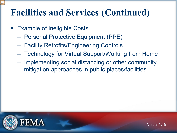#### **Facilities and Services (Continued)**

- Example of Ineligible Costs
	- Personal Protective Equipment (PPE)
	- Facility Retrofits/Engineering Controls
	- Technology for Virtual Support/Working from Home
	- Implementing social distancing or other community mitigation approaches in public places/facilities

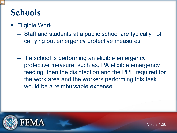#### **Schools**

- Eligible Work
	- Staff and students at a public school are typically not carrying out emergency protective measures
	- If a school is performing an eligible emergency protective measure, such as, PA eligible emergency feeding, then the disinfection and the PPE required for the work area and the workers performing this task would be a reimbursable expense.

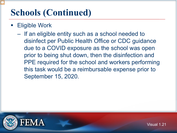#### **Schools (Continued)**

- Eligible Work
	- If an eligible entity such as a school needed to disinfect per Public Health Office or CDC guidance due to a COVID exposure as the school was open prior to being shut down, then the disinfection and PPE required for the school and workers performing this task would be a reimbursable expense prior to September 15, 2020.



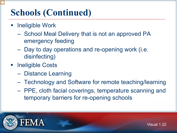#### **Schools (Continued)**

- Ineligible Work
	- School Meal Delivery that is not an approved PA emergency feeding
	- Day to day operations and re-opening work (i.e. disinfecting)
- **Exercise Ineligible Costs** 
	- Distance Learning
	- Technology and Software for remote teaching/learning
	- PPE, cloth facial coverings, temperature scanning and temporary barriers for re-opening schools



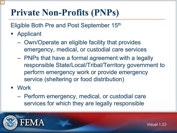## **Private Non-Profits (PNPs)**

Eligible Both Pre and Post September 15th

- Applicant
	- Own/Operate an eligible facility that provides emergency, medical, or custodial care services
	- PNPs that have a formal agreement with a legally responsible State/Local/Tribal/Territory government to perform emergency work or provide emergency service (sheltering or food distribution)
- Work
	- Perform emergency, medical, or custodial care services for which they are legally responsible





Visual 1.23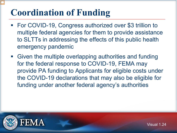## **Coordination of Funding**

- For COVID-19, Congress authorized over \$3 trillion to multiple federal agencies for them to provide assistance to SLTTs in addressing the effects of this public health emergency pandemic
- Given the multiple overlapping authorities and funding for the federal response to COVID-19, FEMA may provide PA funding to Applicants for eligible costs under the COVID-19 declarations that may also be eligible for funding under another federal agency's authorities



FEM A

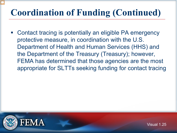## **Coordination of Funding (Continued)**

 Contact tracing is potentially an eligible PA emergency protective measure, in coordination with the U.S. Department of Health and Human Services (HHS) and the Department of the Treasury (Treasury); however, FEMA has determined that those agencies are the most appropriate for SLTTs seeking funding for contact tracing

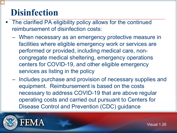#### **Disinfection**

- The clarified PA eligibility policy allows for the continued reimbursement of disinfection costs:
	- When necessary as an emergency protective measure in facilities where eligible emergency work or services are performed or provided, including medical care, noncongregate medical sheltering, emergency operations centers for COVID-19, and other eligible emergency services as listing in the policy
	- Includes purchase and provision of necessary supplies and equipment. Reimbursement is based on the costs necessary to address COVID-19 that are above regular operating costs and carried out pursuant to Centers for Disease Control and Prevention (CDC) guidance



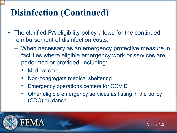- The clarified PA eligibility policy allows for the continued reimbursement of disinfection costs:
	- When necessary as an emergency protective measure in facilities where eligible emergency work or services are performed or provided, including:
		- Medical care
		- Non-congregate medical sheltering
		- Emergency operations centers for COVID
		- Other eligible emergency services as listing in the policy (CDC) guidance





Visual 1.27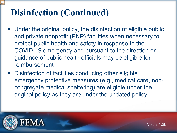- Under the original policy, the disinfection of eligible public and private nonprofit (PNP) facilities when necessary to protect public health and safety in response to the COVID-19 emergency and pursuant to the direction or guidance of public health officials may be eligible for reimbursement
- **-** Disinfection of facilities conducing other eligible emergency protective measures (e.g., medical care, noncongregate medical sheltering) are eligible under the original policy as they are under the updated policy



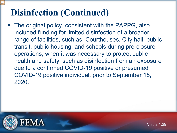The original policy, consistent with the PAPPG, also included funding for limited disinfection of a broader range of facilities, such as: Courthouses, City hall, public transit, public housing, and schools during pre-closure operations, when it was necessary to protect public health and safety, such as disinfection from an exposure due to a confirmed COVID-19 positive or presumed COVID-19 positive individual, prior to September 15, 2020.



Visual 1.29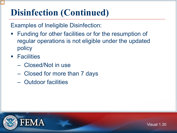Examples of Ineligible Disinfection:

- **Funding for other facilities or for the resumption of** regular operations is not eligible under the updated policy
- **Facilities** 
	- Closed/Not in use
	- Closed for more than 7 days
	- Outdoor facilities

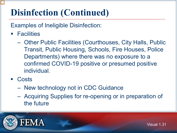Examples of Ineligible Disinfection:

- **E** Facilities
	- Other Public Facilities (Courthouses, City Halls, Public Transit, Public Housing, Schools, Fire Houses, Police Departments) where there was no exposure to a confirmed COVID-19 positive or presumed positive individual.
- Costs
	- New technology not in CDC Guidance
	- Acquiring Supplies for re-opening or in preparation of the future

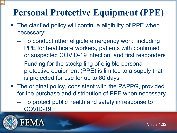- The clarified policy will continue eligibility of PPE when necessary:
	- To conduct other eligible emergency work, including PPE for healthcare workers, patients with confirmed or suspected COVID-19 infection, and first responders
	- Funding for the stockpiling of eligible personal protective equipment (PPE) is limited to a supply that is projected for use for up to 60 days
- The original policy, consistent with the PAPPG, provided for the purchase and distribution of PPE when necessary
	- To protect public health and safety in response to COVID-19

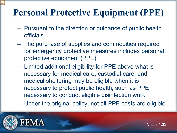- Pursuant to the direction or guidance of public health officials
- The purchase of supplies and commodities required for emergency protective measures includes personal protective equipment (PPE)
- Limited additional eligibility for PPE above what is necessary for medical care, custodial care, and medical sheltering may be eligible when it is necessary to protect public health, such as PPE necessary to conduct eligible disinfection work
- Under the original policy, not all PPE costs are eligible



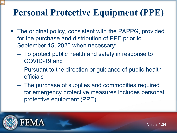- The original policy, consistent with the PAPPG, provided for the purchase and distribution of PPE prior to September 15, 2020 when necessary:
	- To protect public health and safety in response to COVID-19 and
	- Pursuant to the direction or guidance of public health officials
	- The purchase of supplies and commodities required for emergency protective measures includes personal protective equipment (PPE)





Visual 1.34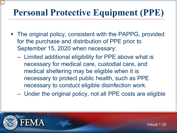- The original policy, consistent with the PAPPG, provided for the purchase and distribution of PPE prior to September 15, 2020 when necessary:
	- Limited additional eligibility for PPE above what is necessary for medical care, custodial care, and medical sheltering may be eligible when it is necessary to protect public health, such as PPE necessary to conduct eligible disinfection work.
	- Under the original policy, not all PPE costs are eligible



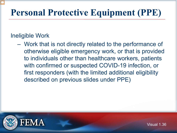#### Ineligible Work

– Work that is not directly related to the performance of otherwise eligible emergency work, or that is provided to individuals other than healthcare workers, patients with confirmed or suspected COVID-19 infection, or first responders (with the limited additional eligibility described on previous slides under PPE)



Visual 1.36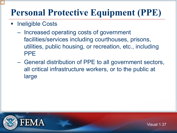- Ineligible Costs
	- Increased operating costs of government facilities/services including courthouses, prisons, utilities, public housing, or recreation, etc., including PPE
	- General distribution of PPE to all government sectors, all critical infrastructure workers, or to the public at large